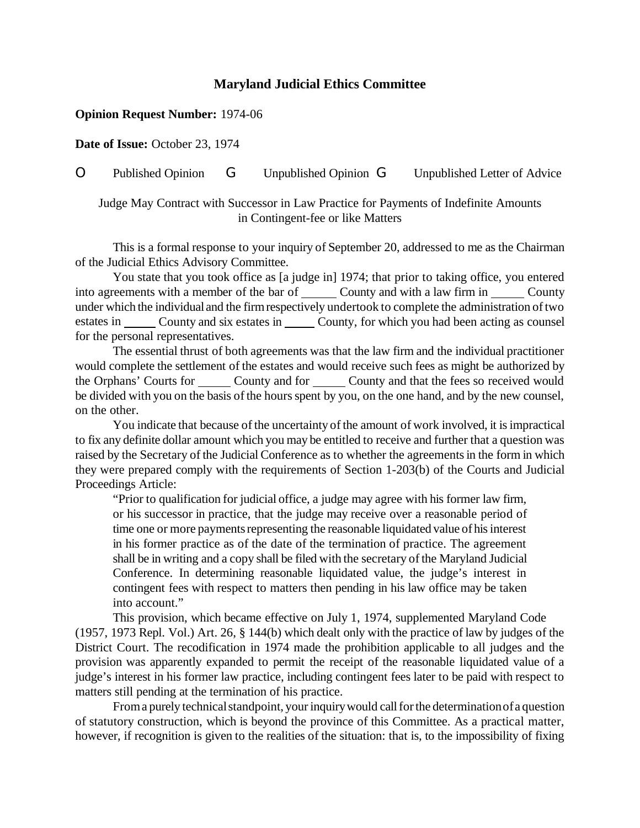## **Maryland Judicial Ethics Committee**

## **Opinion Request Number:** 1974-06

**Date of Issue:** October 23, 1974

O Published Opinion G Unpublished Opinion G Unpublished Letter of Advice

Judge May Contract with Successor in Law Practice for Payments of Indefinite Amounts in Contingent-fee or like Matters

This is a formal response to your inquiry of September 20, addressed to me as the Chairman of the Judicial Ethics Advisory Committee.

You state that you took office as [a judge in] 1974; that prior to taking office, you entered into agreements with a member of the bar of \_\_\_\_\_\_ County and with a law firm in \_\_\_\_\_\_ County under which the individual and the firm respectively undertook to complete the administration of two estates in County and six estates in County, for which you had been acting as counsel for the personal representatives.

The essential thrust of both agreements was that the law firm and the individual practitioner would complete the settlement of the estates and would receive such fees as might be authorized by the Orphans' Courts for County and for County and that the fees so received would be divided with you on the basis of the hours spent by you, on the one hand, and by the new counsel, on the other.

You indicate that because of the uncertainty of the amount of work involved, it is impractical to fix any definite dollar amount which you may be entitled to receive and further that a question was raised by the Secretary of the Judicial Conference as to whether the agreements in the form in which they were prepared comply with the requirements of Section 1-203(b) of the Courts and Judicial Proceedings Article:

"Prior to qualification for judicial office, a judge may agree with his former law firm, or his successor in practice, that the judge may receive over a reasonable period of time one or more payments representing the reasonable liquidated value of his interest in his former practice as of the date of the termination of practice. The agreement shall be in writing and a copy shall be filed with the secretary of the Maryland Judicial Conference. In determining reasonable liquidated value, the judge's interest in contingent fees with respect to matters then pending in his law office may be taken into account."

This provision, which became effective on July 1, 1974, supplemented Maryland Code (1957, 1973 Repl. Vol.) Art. 26, § 144(b) which dealt only with the practice of law by judges of the District Court. The recodification in 1974 made the prohibition applicable to all judges and the provision was apparently expanded to permit the receipt of the reasonable liquidated value of a judge's interest in his former law practice, including contingent fees later to be paid with respect to matters still pending at the termination of his practice.

From a purely technical standpoint, your inquiry would call for the determination of a question of statutory construction, which is beyond the province of this Committee. As a practical matter, however, if recognition is given to the realities of the situation: that is, to the impossibility of fixing